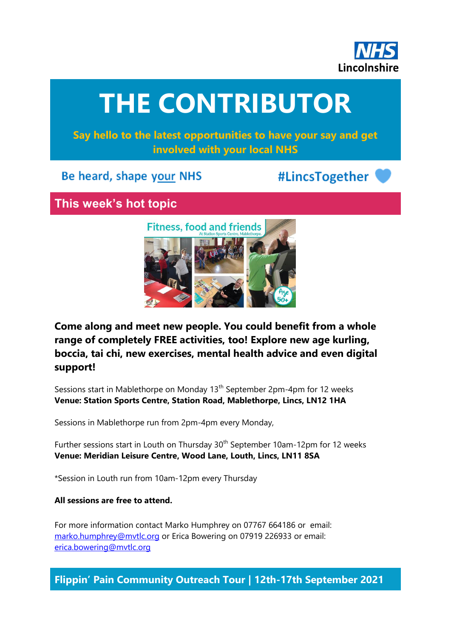

# **THE CONTRIBUTOR**

**Say hello to the latest opportunities to have your say and get involved with your local NHS**

## Be heard, shape your NHS

# #LincsTogether

# **This week's hot topic**



**Come along and meet new people. You could benefit from a whole range of completely FREE activities, too! Explore new age kurling, boccia, tai chi, new exercises, mental health advice and even digital support!**

Sessions start in Mablethorpe on Monday 13<sup>th</sup> September 2pm-4pm for 12 weeks **Venue: Station Sports Centre, Station Road, Mablethorpe, Lincs, LN12 1HA**

Sessions in Mablethorpe run from 2pm-4pm every Monday,

Further sessions start in Louth on Thursday 30<sup>th</sup> September 10am-12pm for 12 weeks **Venue: Meridian Leisure Centre, Wood Lane, Louth, Lincs, LN11 8SA**

\*Session in Louth run from 10am-12pm every Thursday

#### **All sessions are free to attend.**

For more information contact Marko Humphrey on 07767 664186 or email: [marko.humphrey@mvtlc.org](mailto:marko.humphrey@mvtlc.org) or Erica Bowering on 07919 226933 or email: [erica.bowering@mvtlc.org](mailto:erica.bowering@mvtlc.org)

**Flippin' Pain Community Outreach Tour | 12th-17th September 2021**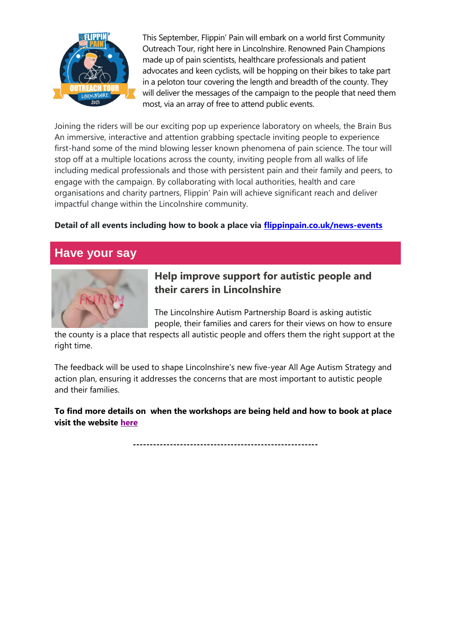

This September, Flippin' Pain will embark on a world first Community Outreach Tour, right here in Lincolnshire. Renowned Pain Champions made up of pain scientists, healthcare professionals and patient advocates and keen cyclists, will be hopping on their bikes to take part in a peloton tour covering the length and breadth of the county. They will deliver the messages of the campaign to the people that need them most, via an array of free to attend public events.

Joining the riders will be our exciting pop up experience laboratory on wheels, the Brain Bus An immersive, interactive and attention grabbing spectacle inviting people to experience first-hand some of the mind blowing lesser known phenomena of pain science. The tour will stop off at a multiple locations across the county, inviting people from all walks of life including medical professionals and those with persistent pain and their family and peers, to engage with the campaign. By collaborating with local authorities, health and care organisations and charity partners, Flippin' Pain will achieve significant reach and deliver impactful change within the Lincolnshire community.

#### **Detail of all events including how to book a place via [flippinpain.co.uk/news-events](https://flippinpain.co.uk/news-events?fbclid=IwAR1QMLcO04ucEK9k7u_NkFo8RJK8mEVB6iHjEUS0nv_pRx1IGGLLKIdbb28)**

## **Have your say**



#### **Help improve support for autistic people and their carers in Lincolnshire**

The Lincolnshire Autism Partnership Board is asking autistic people, their families and carers for their views on how to ensure

the county is a place that respects all autistic people and offers them the right support at the right time.

The feedback will be used to shape Lincolnshire's new five-year All Age Autism Strategy and action plan, ensuring it addresses the concerns that are most important to autistic people and their families.

**To find more details on when the workshops are being held and how to book at place visit the website [here](https://www.lincolnshire.gov.uk/news/article/784/help-improve-support-for-autistic-people-and-their-carers-in-lincolnshire)**

**-------------------------------------------------------**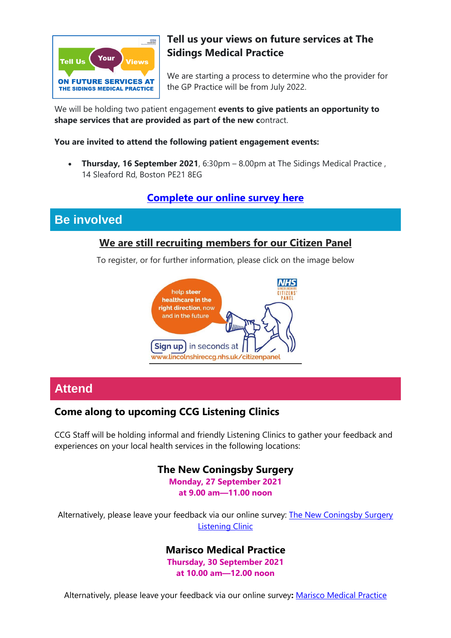

## **Tell us your views on future services at The Sidings Medical Practice**

We are starting a process to determine who the provider for the GP Practice will be from July 2022.

We will be holding two patient engagement **events to give patients an opportunity to shape services that are provided as part of the new c**ontract.

#### **You are invited to attend the following patient engagement events:**

 **Thursday, 16 September 2021**, 6:30pm – 8.00pm at The Sidings Medical Practice , 14 Sleaford Rd, Boston PE21 8EG

#### **[Complete our online survey here](https://nhslincolnshire.qualtrics.com/jfe/form/SV_cwti08wnNabKel8)**

#### **Be involved**

#### **We are still recruiting members for our Citizen Panel**

To register, or for further information, please click on the image below



## **Attend**

#### **Come along to upcoming CCG Listening Clinics**

CCG Staff will be holding informal and friendly Listening Clinics to gather your feedback and experiences on your local health services in the following locations:

#### **The New Coningsby Surgery**

**Monday, 27 September 2021 at 9.00 am—11.00 noon**

Alternatively, please leave your feedback via our online survey: The New Coningsby Surgery [Listening Clinic](https://nhslincolnshire.qualtrics.com/jfe/form/SV_4YgxyLVpgbJxRT8)

#### **Marisco Medical Practice**

**Thursday, 30 September 2021 at 10.00 am—12.00 noon**

Alternatively, please leave your feedback via our online survey**:** [Marisco Medical Practice](https://nhslincolnshire.qualtrics.com/jfe/form/SV_b8i4xXqwAhlc5xQ)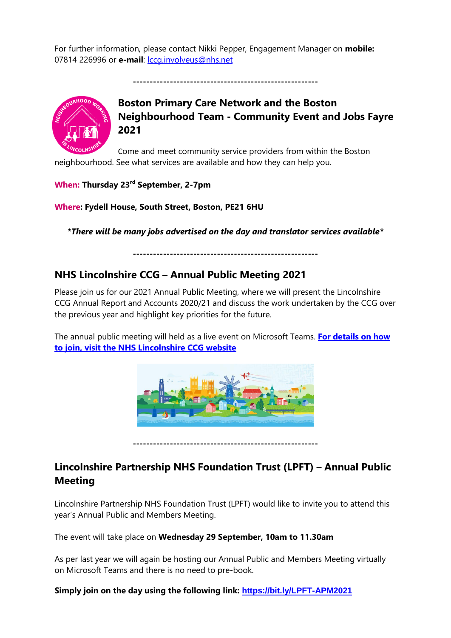For further information, please contact Nikki Pepper, Engagement Manager on **mobile:** 07814 226996 or **e-mail**: [lccg.involveus@nhs.net](mailto:lccg.involveus@nhs.net)

**-------------------------------------------------------**



## **Boston Primary Care Network and the Boston Neighbourhood Team - Community Event and Jobs Fayre 2021**

Come and meet community service providers from within the Boston neighbourhood. See what services are available and how they can help you.

**When: Thursday 23rd September, 2-7pm**

**Where: Fydell House, South Street, Boston, PE21 6HU**

*\*There will be many jobs advertised on the day and translator services available\**

**-------------------------------------------------------**

#### **NHS Lincolnshire CCG – Annual Public Meeting 2021**

Please join us for our 2021 Annual Public Meeting, where we will present the Lincolnshire CCG Annual Report and Accounts 2020/21 and discuss the work undertaken by the CCG over the previous year and highlight key priorities for the future.

The annual public meeting will held as a live event on Microsoft Teams. **[For details on how](https://lincolnshireccg.nhs.uk/event/annual-public-meeting-2021/)  [to join, visit the NHS Lincolnshire CCG website](https://lincolnshireccg.nhs.uk/event/annual-public-meeting-2021/)**



**-------------------------------------------------------**

#### **Lincolnshire Partnership NHS Foundation Trust (LPFT) – Annual Public Meeting**

Lincolnshire Partnership NHS Foundation Trust (LPFT) would like to invite you to attend this year's Annual Public and Members Meeting.

The event will take place on **Wednesday 29 September, 10am to 11.30am** 

As per last year we will again be hosting our Annual Public and Members Meeting virtually on Microsoft Teams and there is no need to pre-book.

**Simply join on the day using the following link: <https://bit.ly/LPFT-APM2021>**